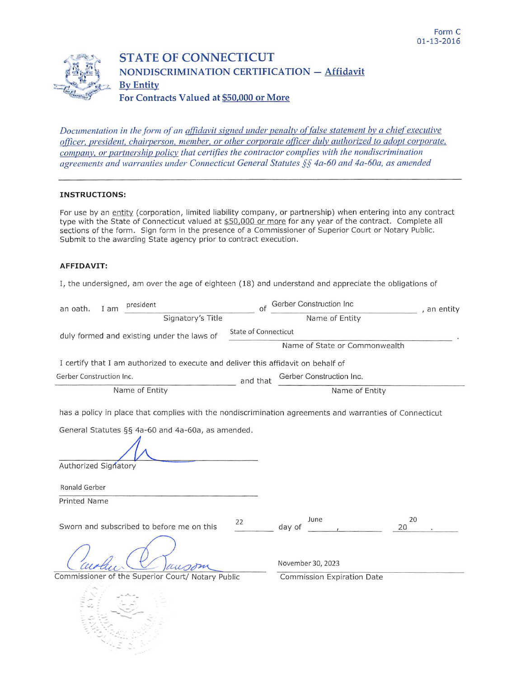

## STATE OF CONNECTICUT NONDISCRIMINATION CERTIFICATION - Affidavit By Entity For Contracts Valued at S50.000 or More

Documentation in the form of an affidavit signed under penalty of false statement by a chief executive officer, president, chairperson, member, or other corporate officer duly authorized to adopt corporate, company, or partnership policy that certifies the contractor complies with the nondiscrimination agreements and warranties under Connecticut General Statutes §§ 4a-60 and 4a-60a, as amended

## INSTRUCTIONS:

For use by an entity (corporation, limited liability company, or partnership) when entering into any contract type with the State of Connecticut valued at \$50,000 or more for any year of the contract. Complete all sections of the form. Sign form in the presence of a Commissioner of Superior Court or Notary Public. Submit to the awarding State agency prior to contract execution.

## AFFIDAVIT:

I, the undersigned, am over the age of eighteen (18) and understand and appreciate the obligations of

| president<br>an oath.<br>I am                                                                           | Gerber Construction Inc              | , an entity |
|---------------------------------------------------------------------------------------------------------|--------------------------------------|-------------|
| Signatory's Title                                                                                       | Name of Entity                       |             |
| <b>State of Connecticut</b><br>duly formed and existing under the laws of                               |                                      |             |
|                                                                                                         | Name of State or Commonwealth        |             |
| I certify that I am authorized to execute and deliver this affidavit on behalf of                       |                                      |             |
| Gerber Construction Inc.                                                                                | Gerber Construction Inc.<br>and that |             |
| Name of Entity                                                                                          | Name of Entity                       |             |
| has a policy in place that complies with the nondiscrimination agreements and warranties of Connecticut |                                      |             |
| General Statutes §§ 4a-60 and 4a-60a, as amended.                                                       |                                      |             |
|                                                                                                         |                                      |             |
| Authorized Signatory                                                                                    |                                      |             |
| Ronald Gerber                                                                                           |                                      |             |
| Printed Name                                                                                            |                                      |             |
| 22<br>Sworn and subscribed to before me on this                                                         | 20<br>June<br>day of<br>20           |             |
|                                                                                                         | November 30, 2023                    |             |
| Commissioner of the Superior Court/ Notary Public                                                       | Commission Expiration Date           |             |
|                                                                                                         |                                      |             |